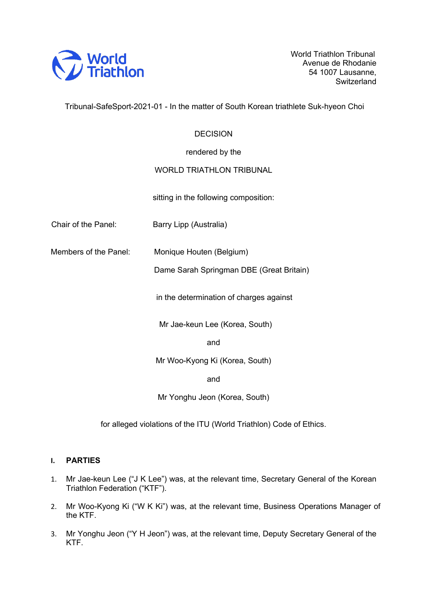

World Triathlon Tribunal Avenue de Rhodanie 54 1007 Lausanne, **Switzerland** 

Tribunal-SafeSport-2021-01 - In the matter of South Korean triathlete Suk-hyeon Choi

# **DECISION**

rendered by the

# WORLD TRIATHLON TRIBUNAL

sitting in the following composition:

Chair of the Panel: Barry Lipp (Australia)

Members of the Panel: Monique Houten (Belgium)

Dame Sarah Springman DBE (Great Britain)

in the determination of charges against

Mr Jae-keun Lee (Korea, South)

and

Mr Woo-Kyong Ki (Korea, South)

and

Mr Yonghu Jeon (Korea, South)

for alleged violations of the ITU (World Triathlon) Code of Ethics.

# **I. PARTIES**

- 1. Mr Jae-keun Lee ("J K Lee") was, at the relevant time, Secretary General of the Korean Triathlon Federation ("KTF").
- 2. Mr Woo-Kyong Ki ("W K Ki") was, at the relevant time, Business Operations Manager of the KTF.
- 3. Mr Yonghu Jeon ("Y H Jeon") was, at the relevant time, Deputy Secretary General of the KTF.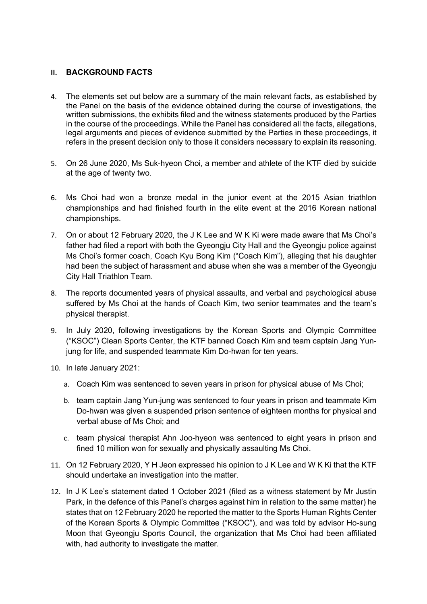# **II. BACKGROUND FACTS**

- 4. The elements set out below are a summary of the main relevant facts, as established by the Panel on the basis of the evidence obtained during the course of investigations, the written submissions, the exhibits filed and the witness statements produced by the Parties in the course of the proceedings. While the Panel has considered all the facts, allegations, legal arguments and pieces of evidence submitted by the Parties in these proceedings, it refers in the present decision only to those it considers necessary to explain its reasoning.
- 5. On 26 June 2020, Ms Suk-hyeon Choi, a member and athlete of the KTF died by suicide at the age of twenty two.
- 6. Ms Choi had won a bronze medal in the junior event at the 2015 Asian triathlon championships and had finished fourth in the elite event at the 2016 Korean national championships.
- 7. On or about 12 February 2020, the J K Lee and W K Ki were made aware that Ms Choi's father had filed a report with both the Gyeongju City Hall and the Gyeongju police against Ms Choi's former coach, Coach Kyu Bong Kim ("Coach Kim"), alleging that his daughter had been the subject of harassment and abuse when she was a member of the Gyeongju City Hall Triathlon Team.
- 8. The reports documented years of physical assaults, and verbal and psychological abuse suffered by Ms Choi at the hands of Coach Kim, two senior teammates and the team's physical therapist.
- 9. In July 2020, following investigations by the Korean Sports and Olympic Committee ("KSOC") Clean Sports Center, the KTF banned Coach Kim and team captain Jang Yunjung for life, and suspended teammate Kim Do-hwan for ten years.
- 10. In late January 2021:
	- a. Coach Kim was sentenced to seven years in prison for physical abuse of Ms Choi;
	- b. team captain Jang Yun-jung was sentenced to four years in prison and teammate Kim Do-hwan was given a suspended prison sentence of eighteen months for physical and verbal abuse of Ms Choi; and
	- c. team physical therapist Ahn Joo-hyeon was sentenced to eight years in prison and fined 10 million won for sexually and physically assaulting Ms Choi.
- 11. On 12 February 2020, Y H Jeon expressed his opinion to J K Lee and W K Ki that the KTF should undertake an investigation into the matter.
- 12. In J K Lee's statement dated 1 October 2021 (filed as a witness statement by Mr Justin Park, in the defence of this Panel's charges against him in relation to the same matter) he states that on 12 February 2020 he reported the matter to the Sports Human Rights Center of the Korean Sports & Olympic Committee ("KSOC"), and was told by advisor Ho-sung Moon that Gyeongju Sports Council, the organization that Ms Choi had been affiliated with, had authority to investigate the matter.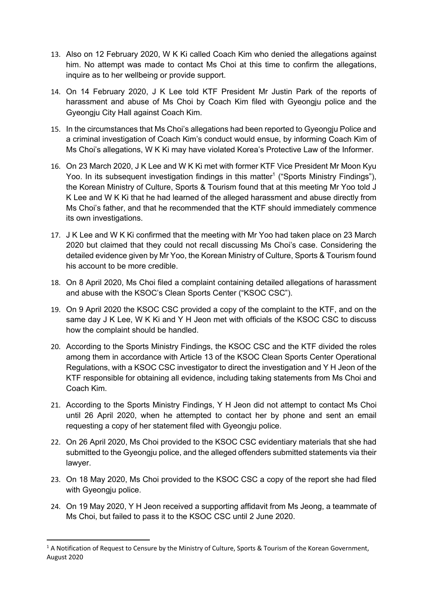- 13. Also on 12 February 2020, W K Ki called Coach Kim who denied the allegations against him. No attempt was made to contact Ms Choi at this time to confirm the allegations, inquire as to her wellbeing or provide support.
- 14. On 14 February 2020, J K Lee told KTF President Mr Justin Park of the reports of harassment and abuse of Ms Choi by Coach Kim filed with Gyeongju police and the Gyeongju City Hall against Coach Kim.
- 15. In the circumstances that Ms Choi's allegations had been reported to Gyeongju Police and a criminal investigation of Coach Kim's conduct would ensue, by informing Coach Kim of Ms Choi's allegations, W K Ki may have violated Korea's Protective Law of the Informer.
- 16. On 23 March 2020, J K Lee and W K Ki met with former KTF Vice President Mr Moon Kyu Yoo. In its subsequent investigation findings in this matter<sup>1</sup> ("Sports Ministry Findings"), the Korean Ministry of Culture, Sports & Tourism found that at this meeting Mr Yoo told J K Lee and W K Ki that he had learned of the alleged harassment and abuse directly from Ms Choi's father, and that he recommended that the KTF should immediately commence its own investigations.
- 17. J K Lee and W K Ki confirmed that the meeting with Mr Yoo had taken place on 23 March 2020 but claimed that they could not recall discussing Ms Choi's case. Considering the detailed evidence given by Mr Yoo, the Korean Ministry of Culture, Sports & Tourism found his account to be more credible.
- 18. On 8 April 2020, Ms Choi filed a complaint containing detailed allegations of harassment and abuse with the KSOC's Clean Sports Center ("KSOC CSC").
- 19. On 9 April 2020 the KSOC CSC provided a copy of the complaint to the KTF, and on the same day J K Lee, W K Ki and Y H Jeon met with officials of the KSOC CSC to discuss how the complaint should be handled.
- 20. According to the Sports Ministry Findings, the KSOC CSC and the KTF divided the roles among them in accordance with Article 13 of the KSOC Clean Sports Center Operational Regulations, with a KSOC CSC investigator to direct the investigation and Y H Jeon of the KTF responsible for obtaining all evidence, including taking statements from Ms Choi and Coach Kim.
- 21. According to the Sports Ministry Findings, Y H Jeon did not attempt to contact Ms Choi until 26 April 2020, when he attempted to contact her by phone and sent an email requesting a copy of her statement filed with Gyeongju police.
- 22. On 26 April 2020, Ms Choi provided to the KSOC CSC evidentiary materials that she had submitted to the Gyeongju police, and the alleged offenders submitted statements via their lawyer.
- 23. On 18 May 2020, Ms Choi provided to the KSOC CSC a copy of the report she had filed with Gyeongju police.
- 24. On 19 May 2020, Y H Jeon received a supporting affidavit from Ms Jeong, a teammate of Ms Choi, but failed to pass it to the KSOC CSC until 2 June 2020.

 $1$  A Notification of Request to Censure by the Ministry of Culture, Sports & Tourism of the Korean Government, August 2020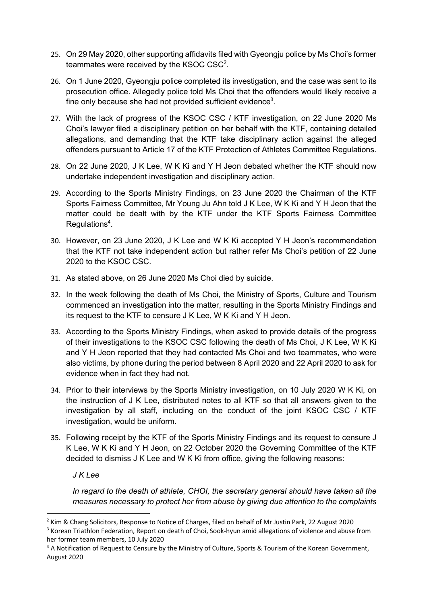- 25. On 29 May 2020, other supporting affidavits filed with Gyeongju police by Ms Choi's former teammates were received by the KSOC CSC<sup>2</sup>.
- 26. On 1 June 2020, Gyeongju police completed its investigation, and the case was sent to its prosecution office. Allegedly police told Ms Choi that the offenders would likely receive a fine only because she had not provided sufficient evidence<sup>3</sup>.
- 27. With the lack of progress of the KSOC CSC / KTF investigation, on 22 June 2020 Ms Choi's lawyer filed a disciplinary petition on her behalf with the KTF, containing detailed allegations, and demanding that the KTF take disciplinary action against the alleged offenders pursuant to Article 17 of the KTF Protection of Athletes Committee Regulations.
- 28. On 22 June 2020, J K Lee, W K Ki and Y H Jeon debated whether the KTF should now undertake independent investigation and disciplinary action.
- 29. According to the Sports Ministry Findings, on 23 June 2020 the Chairman of the KTF Sports Fairness Committee, Mr Young Ju Ahn told J K Lee, W K Ki and Y H Jeon that the matter could be dealt with by the KTF under the KTF Sports Fairness Committee Regulations<sup>4</sup>.
- 30. However, on 23 June 2020, J K Lee and W K Ki accepted Y H Jeon's recommendation that the KTF not take independent action but rather refer Ms Choi's petition of 22 June 2020 to the KSOC CSC.
- 31. As stated above, on 26 June 2020 Ms Choi died by suicide.
- 32. In the week following the death of Ms Choi, the Ministry of Sports, Culture and Tourism commenced an investigation into the matter, resulting in the Sports Ministry Findings and its request to the KTF to censure J K Lee, W K Ki and Y H Jeon.
- 33. According to the Sports Ministry Findings, when asked to provide details of the progress of their investigations to the KSOC CSC following the death of Ms Choi, J K Lee, W K Ki and Y H Jeon reported that they had contacted Ms Choi and two teammates, who were also victims, by phone during the period between 8 April 2020 and 22 April 2020 to ask for evidence when in fact they had not.
- 34. Prior to their interviews by the Sports Ministry investigation, on 10 July 2020 W K Ki, on the instruction of J K Lee, distributed notes to all KTF so that all answers given to the investigation by all staff, including on the conduct of the joint KSOC CSC / KTF investigation, would be uniform.
- 35. Following receipt by the KTF of the Sports Ministry Findings and its request to censure J K Lee, W K Ki and Y H Jeon, on 22 October 2020 the Governing Committee of the KTF decided to dismiss J K Lee and W K Ki from office, giving the following reasons:

*J K Lee*

*In regard to the death of athlete, CHOI, the secretary general should have taken all the measures necessary to protect her from abuse by giving due attention to the complaints* 

<sup>&</sup>lt;sup>2</sup> Kim & Chang Solicitors, Response to Notice of Charges, filed on behalf of Mr Justin Park, 22 August 2020

<sup>&</sup>lt;sup>3</sup> Korean Triathlon Federation, Report on death of Choi, Sook-hyun amid allegations of violence and abuse from her former team members, 10 July 2020

<sup>4</sup> A Notification of Request to Censure by the Ministry of Culture, Sports & Tourism of the Korean Government, August 2020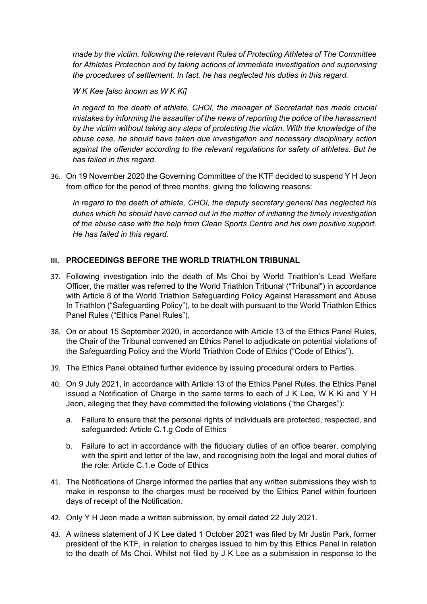*made by the victim, following the relevant Rules of Protecting Athletes of The Committee for Athletes Protection and by taking actions of immediate investigation and supervising the procedures of settlement. In fact, he has neglected his duties in this regard.*

*W K Kee [also known as W K Ki]*

*In regard to the death of athlete, CHOI, the manager of Secretariat has made crucial mistakes by informing the assaulter of the news of reporting the police of the harassment by the victim without taking any steps of protecting the victim. With the knowledge of the abuse case, he should have taken due investigation and necessary disciplinary action against the offender according to the relevant regulations for safety of athletes. But he has failed in this regard.*

36. On 19 November 2020 the Governing Committee of the KTF decided to suspend Y H Jeon from office for the period of three months, giving the following reasons:

*In regard to the death of athlete, CHOI, the deputy secretary general has neglected his duties which he should have carried out in the matter of initiating the timely investigation of the abuse case with the help from Clean Sports Centre and his own positive support. He has failed in this regard.*

# **III. PROCEEDINGS BEFORE THE WORLD TRIATHLON TRIBUNAL**

- 37. Following investigation into the death of Ms Choi by World Triathlon's Lead Welfare Officer, the matter was referred to the World Triathlon Tribunal ("Tribunal") in accordance with Article 8 of the World Triathlon Safeguarding Policy Against Harassment and Abuse In Triathlon ("Safeguarding Policy"), to be dealt with pursuant to the World Triathlon Ethics Panel Rules ("Ethics Panel Rules").
- 38. On or about 15 September 2020, in accordance with Article 13 of the Ethics Panel Rules, the Chair of the Tribunal convened an Ethics Panel to adjudicate on potential violations of the Safeguarding Policy and the World Triathlon Code of Ethics ("Code of Ethics").
- 39. The Ethics Panel obtained further evidence by issuing procedural orders to Parties.
- 40. On 9 July 2021, in accordance with Article 13 of the Ethics Panel Rules, the Ethics Panel issued a Notification of Charge in the same terms to each of J K Lee, W K Ki and Y H Jeon, alleging that they have committed the following violations ("the Charges"):
	- a. Failure to ensure that the personal rights of individuals are protected, respected, and safeguarded: Article C.1.g Code of Ethics
	- b. Failure to act in accordance with the fiduciary duties of an office bearer, complying with the spirit and letter of the law, and recognising both the legal and moral duties of the role: Article C.1.e Code of Ethics
- 41. The Notifications of Charge informed the parties that any written submissions they wish to make in response to the charges must be received by the Ethics Panel within fourteen days of receipt of the Notification.
- 42. Only Y H Jeon made a written submission, by email dated 22 July 2021.
- 43. A witness statement of J K Lee dated 1 October 2021 was filed by Mr Justin Park, former president of the KTF, in relation to charges issued to him by this Ethics Panel in relation to the death of Ms Choi. Whilst not filed by J K Lee as a submission in response to the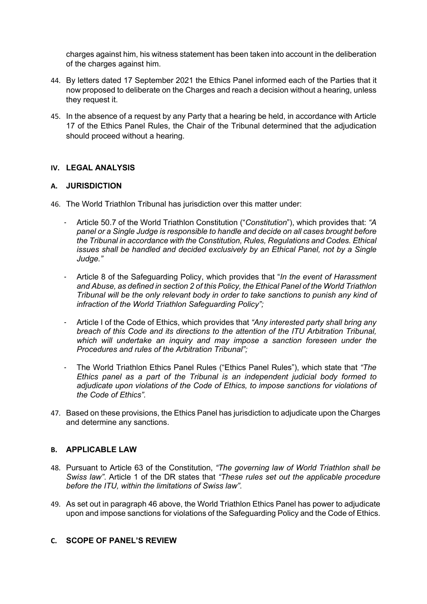charges against him, his witness statement has been taken into account in the deliberation of the charges against him.

- 44. By letters dated 17 September 2021 the Ethics Panel informed each of the Parties that it now proposed to deliberate on the Charges and reach a decision without a hearing, unless they request it.
- 45. In the absence of a request by any Party that a hearing be held, in accordance with Article 17 of the Ethics Panel Rules, the Chair of the Tribunal determined that the adjudication should proceed without a hearing.

# **IV. LEGAL ANALYSIS**

# **A. JURISDICTION**

- 46. The World Triathlon Tribunal has jurisdiction over this matter under:
	- Article 50.7 of the World Triathlon Constitution ("*Constitution*"), which provides that: *"A panel or a Single Judge is responsible to handle and decide on all cases brought before the Tribunal in accordance with the Constitution, Rules, Regulations and Codes. Ethical issues shall be handled and decided exclusively by an Ethical Panel, not by a Single Judge."*
	- Article 8 of the Safeguarding Policy, which provides that "*In the event of Harassment and Abuse, as defined in section 2 of this Policy, the Ethical Panel of the World Triathlon Tribunal will be the only relevant body in order to take sanctions to punish any kind of infraction of the World Triathlon Safeguarding Policy";*
	- Article I of the Code of Ethics, which provides that *"Any interested party shall bring any breach of this Code and its directions to the attention of the ITU Arbitration Tribunal, which will undertake an inquiry and may impose a sanction foreseen under the Procedures and rules of the Arbitration Tribunal";*
	- The World Triathlon Ethics Panel Rules ("Ethics Panel Rules"), which state that *"The Ethics panel as a part of the Tribunal is an independent judicial body formed to adjudicate upon violations of the Code of Ethics, to impose sanctions for violations of the Code of Ethics".*
- 47. Based on these provisions, the Ethics Panel has jurisdiction to adjudicate upon the Charges and determine any sanctions.

# **B. APPLICABLE LAW**

- 48. Pursuant to Article 63 of the Constitution, *"The governing law of World Triathlon shall be Swiss law"*. Article 1 of the DR states that *"These rules set out the applicable procedure before the ITU, within the limitations of Swiss law".*
- 49. As set out in paragraph 46 above, the World Triathlon Ethics Panel has power to adjudicate upon and impose sanctions for violations of the Safeguarding Policy and the Code of Ethics.

# **C. SCOPE OF PANEL'S REVIEW**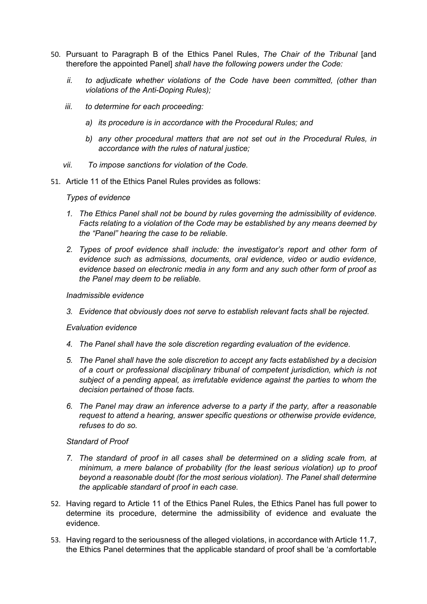- 50. Pursuant to Paragraph B of the Ethics Panel Rules, *The Chair of the Tribunal* [and therefore the appointed Panel] *shall have the following powers under the Code:*
	- *ii. to adjudicate whether violations of the Code have been committed, (other than violations of the Anti-Doping Rules);*
	- *iii. to determine for each proceeding:*
		- *a) its procedure is in accordance with the Procedural Rules; and*
		- *b) any other procedural matters that are not set out in the Procedural Rules, in accordance with the rules of natural justice;*
	- *vii. To impose sanctions for violation of the Code.*
- 51. Article 11 of the Ethics Panel Rules provides as follows:

#### *Types of evidence*

- *1. The Ethics Panel shall not be bound by rules governing the admissibility of evidence. Facts relating to a violation of the Code may be established by any means deemed by the "Panel" hearing the case to be reliable.*
- *2. Types of proof evidence shall include: the investigator's report and other form of evidence such as admissions, documents, oral evidence, video or audio evidence, evidence based on electronic media in any form and any such other form of proof as the Panel may deem to be reliable.*

#### *Inadmissible evidence*

*3. Evidence that obviously does not serve to establish relevant facts shall be rejected.*

#### *Evaluation evidence*

- *4. The Panel shall have the sole discretion regarding evaluation of the evidence.*
- *5. The Panel shall have the sole discretion to accept any facts established by a decision of a court or professional disciplinary tribunal of competent jurisdiction, which is not subject of a pending appeal, as irrefutable evidence against the parties to whom the decision pertained of those facts.*
- *6. The Panel may draw an inference adverse to a party if the party, after a reasonable request to attend a hearing, answer specific questions or otherwise provide evidence, refuses to do so.*

#### *Standard of Proof*

- *7. The standard of proof in all cases shall be determined on a sliding scale from, at minimum, a mere balance of probability (for the least serious violation) up to proof beyond a reasonable doubt (for the most serious violation). The Panel shall determine the applicable standard of proof in each case.*
- 52. Having regard to Article 11 of the Ethics Panel Rules, the Ethics Panel has full power to determine its procedure, determine the admissibility of evidence and evaluate the evidence.
- 53. Having regard to the seriousness of the alleged violations, in accordance with Article 11.7, the Ethics Panel determines that the applicable standard of proof shall be 'a comfortable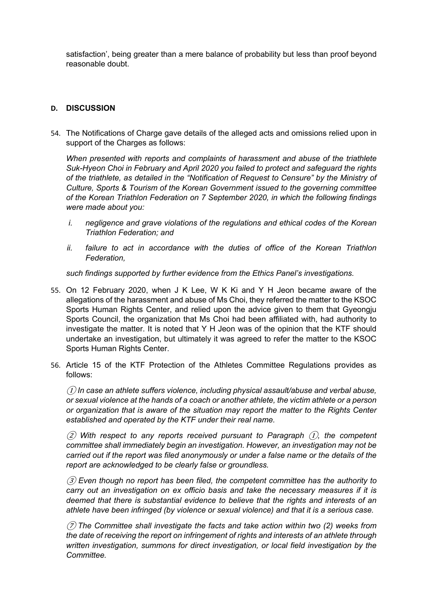satisfaction', being greater than a mere balance of probability but less than proof beyond reasonable doubt.

# **D. DISCUSSION**

54. The Notifications of Charge gave details of the alleged acts and omissions relied upon in support of the Charges as follows:

*When presented with reports and complaints of harassment and abuse of the triathlete Suk-Hyeon Choi in February and April 2020 you failed to protect and safeguard the rights of the triathlete, as detailed in the "Notification of Request to Censure" by the Ministry of Culture, Sports & Tourism of the Korean Government issued to the governing committee of the Korean Triathlon Federation on 7 September 2020, in which the following findings were made about you:*

- *i. negligence and grave violations of the regulations and ethical codes of the Korean Triathlon Federation; and*
- *ii. failure to act in accordance with the duties of office of the Korean Triathlon Federation,*

*such findings supported by further evidence from the Ethics Panel's investigations.*

- 55. On 12 February 2020, when J K Lee, W K Ki and Y H Jeon became aware of the allegations of the harassment and abuse of Ms Choi, they referred the matter to the KSOC Sports Human Rights Center, and relied upon the advice given to them that Gyeongju Sports Council, the organization that Ms Choi had been affiliated with, had authority to investigate the matter. It is noted that Y H Jeon was of the opinion that the KTF should undertake an investigation, but ultimately it was agreed to refer the matter to the KSOC Sports Human Rights Center.
- 56. Article 15 of the KTF Protection of the Athletes Committee Regulations provides as follows:

① *In case an athlete suffers violence, including physical assault/abuse and verbal abuse, or sexual violence at the hands of a coach or another athlete, the victim athlete or a person or organization that is aware of the situation may report the matter to the Rights Center established and operated by the KTF under their real name.*

② *With respect to any reports received pursuant to Paragraph* ①*, the competent committee shall immediately begin an investigation. However, an investigation may not be carried out if the report was filed anonymously or under a false name or the details of the report are acknowledged to be clearly false or groundless.*

③ *Even though no report has been filed, the competent committee has the authority to carry out an investigation on ex officio basis and take the necessary measures if it is deemed that there is substantial evidence to believe that the rights and interests of an athlete have been infringed (by violence or sexual violence) and that it is a serious case.*

⑦ *The Committee shall investigate the facts and take action within two (2) weeks from the date of receiving the report on infringement of rights and interests of an athlete through written investigation, summons for direct investigation, or local field investigation by the Committee.*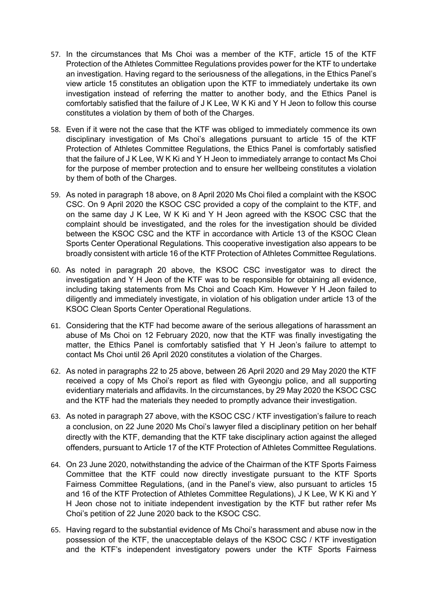- 57. In the circumstances that Ms Choi was a member of the KTF, article 15 of the KTF Protection of the Athletes Committee Regulations provides power for the KTF to undertake an investigation. Having regard to the seriousness of the allegations, in the Ethics Panel's view article 15 constitutes an obligation upon the KTF to immediately undertake its own investigation instead of referring the matter to another body, and the Ethics Panel is comfortably satisfied that the failure of J K Lee, W K Ki and Y H Jeon to follow this course constitutes a violation by them of both of the Charges.
- 58. Even if it were not the case that the KTF was obliged to immediately commence its own disciplinary investigation of Ms Choi's allegations pursuant to article 15 of the KTF Protection of Athletes Committee Regulations, the Ethics Panel is comfortably satisfied that the failure of J K Lee, W K Ki and Y H Jeon to immediately arrange to contact Ms Choi for the purpose of member protection and to ensure her wellbeing constitutes a violation by them of both of the Charges.
- 59. As noted in paragraph 18 above, on 8 April 2020 Ms Choi filed a complaint with the KSOC CSC. On 9 April 2020 the KSOC CSC provided a copy of the complaint to the KTF, and on the same day J K Lee, W K Ki and Y H Jeon agreed with the KSOC CSC that the complaint should be investigated, and the roles for the investigation should be divided between the KSOC CSC and the KTF in accordance with Article 13 of the KSOC Clean Sports Center Operational Regulations. This cooperative investigation also appears to be broadly consistent with article 16 of the KTF Protection of Athletes Committee Regulations.
- 60. As noted in paragraph 20 above, the KSOC CSC investigator was to direct the investigation and Y H Jeon of the KTF was to be responsible for obtaining all evidence, including taking statements from Ms Choi and Coach Kim. However Y H Jeon failed to diligently and immediately investigate, in violation of his obligation under article 13 of the KSOC Clean Sports Center Operational Regulations.
- 61. Considering that the KTF had become aware of the serious allegations of harassment an abuse of Ms Choi on 12 February 2020, now that the KTF was finally investigating the matter, the Ethics Panel is comfortably satisfied that Y H Jeon's failure to attempt to contact Ms Choi until 26 April 2020 constitutes a violation of the Charges.
- 62. As noted in paragraphs 22 to 25 above, between 26 April 2020 and 29 May 2020 the KTF received a copy of Ms Choi's report as filed with Gyeongju police, and all supporting evidentiary materials and affidavits. In the circumstances, by 29 May 2020 the KSOC CSC and the KTF had the materials they needed to promptly advance their investigation.
- 63. As noted in paragraph 27 above, with the KSOC CSC / KTF investigation's failure to reach a conclusion, on 22 June 2020 Ms Choi's lawyer filed a disciplinary petition on her behalf directly with the KTF, demanding that the KTF take disciplinary action against the alleged offenders, pursuant to Article 17 of the KTF Protection of Athletes Committee Regulations.
- 64. On 23 June 2020, notwithstanding the advice of the Chairman of the KTF Sports Fairness Committee that the KTF could now directly investigate pursuant to the KTF Sports Fairness Committee Regulations, (and in the Panel's view, also pursuant to articles 15 and 16 of the KTF Protection of Athletes Committee Regulations), J K Lee, W K Ki and Y H Jeon chose not to initiate independent investigation by the KTF but rather refer Ms Choi's petition of 22 June 2020 back to the KSOC CSC.
- 65. Having regard to the substantial evidence of Ms Choi's harassment and abuse now in the possession of the KTF, the unacceptable delays of the KSOC CSC / KTF investigation and the KTF's independent investigatory powers under the KTF Sports Fairness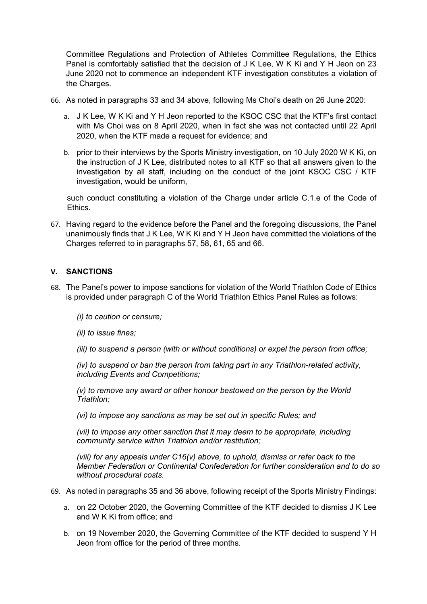Committee Regulations and Protection of Athletes Committee Regulations, the Ethics Panel is comfortably satisfied that the decision of J K Lee, W K Ki and Y H Jeon on 23 June 2020 not to commence an independent KTF investigation constitutes a violation of the Charges.

- 66. As noted in paragraphs 33 and 34 above, following Ms Choi's death on 26 June 2020:
	- a. J K Lee, W K Ki and Y H Jeon reported to the KSOC CSC that the KTF's first contact with Ms Choi was on 8 April 2020, when in fact she was not contacted until 22 April 2020, when the KTF made a request for evidence; and
	- b. prior to their interviews by the Sports Ministry investigation, on 10 July 2020 W K Ki, on the instruction of J K Lee, distributed notes to all KTF so that all answers given to the investigation by all staff, including on the conduct of the joint KSOC CSC / KTF investigation, would be uniform,

such conduct constituting a violation of the Charge under article C.1.e of the Code of Ethics.

67. Having regard to the evidence before the Panel and the foregoing discussions, the Panel unanimously finds that J K Lee, W K Ki and Y H Jeon have committed the violations of the Charges referred to in paragraphs 57, 58, 61, 65 and 66.

# **V. SANCTIONS**

68. The Panel's power to impose sanctions for violation of the World Triathlon Code of Ethics is provided under paragraph C of the World Triathlon Ethics Panel Rules as follows:

*(i) to caution or censure;* 

- *(ii) to issue fines;*
- *(iii) to suspend a person (with or without conditions) or expel the person from office;*

*(iv) to suspend or ban the person from taking part in any Triathlon-related activity, including Events and Competitions;* 

*(v) to remove any award or other honour bestowed on the person by the World Triathlon;* 

*(vi) to impose any sanctions as may be set out in specific Rules; and* 

*(vii) to impose any other sanction that it may deem to be appropriate, including community service within Triathlon and/or restitution;* 

*(viii) for any appeals under C16(v) above, to uphold, dismiss or refer back to the Member Federation or Continental Confederation for further consideration and to do so without procedural costs.* 

- 69. As noted in paragraphs 35 and 36 above, following receipt of the Sports Ministry Findings:
	- a. on 22 October 2020, the Governing Committee of the KTF decided to dismiss J K Lee and W K Ki from office; and
	- b. on 19 November 2020, the Governing Committee of the KTF decided to suspend Y H Jeon from office for the period of three months.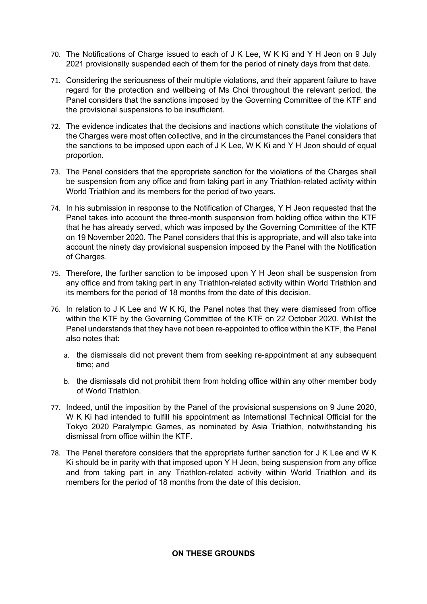- 70. The Notifications of Charge issued to each of J K Lee, W K Ki and Y H Jeon on 9 July 2021 provisionally suspended each of them for the period of ninety days from that date.
- 71. Considering the seriousness of their multiple violations, and their apparent failure to have regard for the protection and wellbeing of Ms Choi throughout the relevant period, the Panel considers that the sanctions imposed by the Governing Committee of the KTF and the provisional suspensions to be insufficient.
- 72. The evidence indicates that the decisions and inactions which constitute the violations of the Charges were most often collective, and in the circumstances the Panel considers that the sanctions to be imposed upon each of J K Lee, W K Ki and Y H Jeon should of equal proportion.
- 73. The Panel considers that the appropriate sanction for the violations of the Charges shall be suspension from any office and from taking part in any Triathlon-related activity within World Triathlon and its members for the period of two years.
- 74. In his submission in response to the Notification of Charges, Y H Jeon requested that the Panel takes into account the three-month suspension from holding office within the KTF that he has already served, which was imposed by the Governing Committee of the KTF on 19 November 2020. The Panel considers that this is appropriate, and will also take into account the ninety day provisional suspension imposed by the Panel with the Notification of Charges.
- 75. Therefore, the further sanction to be imposed upon Y H Jeon shall be suspension from any office and from taking part in any Triathlon-related activity within World Triathlon and its members for the period of 18 months from the date of this decision.
- 76. In relation to J K Lee and W K Ki, the Panel notes that they were dismissed from office within the KTF by the Governing Committee of the KTF on 22 October 2020. Whilst the Panel understands that they have not been re-appointed to office within the KTF, the Panel also notes that:
	- a. the dismissals did not prevent them from seeking re-appointment at any subsequent time; and
	- b. the dismissals did not prohibit them from holding office within any other member body of World Triathlon.
- 77. Indeed, until the imposition by the Panel of the provisional suspensions on 9 June 2020, W K Ki had intended to fulfill his appointment as International Technical Official for the Tokyo 2020 Paralympic Games, as nominated by Asia Triathlon, notwithstanding his dismissal from office within the KTF.
- 78. The Panel therefore considers that the appropriate further sanction for J K Lee and W K Ki should be in parity with that imposed upon Y H Jeon, being suspension from any office and from taking part in any Triathlon-related activity within World Triathlon and its members for the period of 18 months from the date of this decision.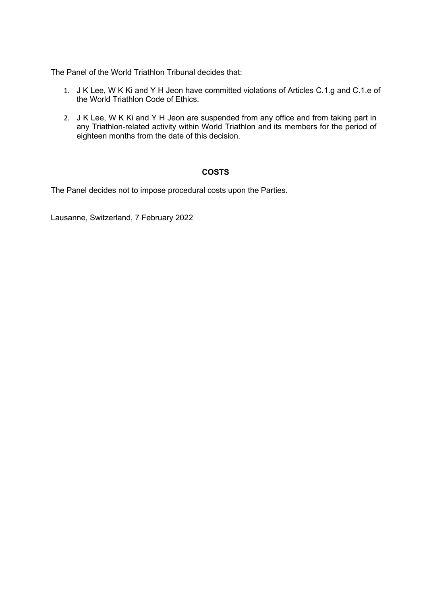The Panel of the World Triathlon Tribunal decides that:

- 1. J K Lee, W K Ki and Y H Jeon have committed violations of Articles C.1.g and C.1.e of the World Triathlon Code of Ethics.
- 2. J K Lee, W K Ki and Y H Jeon are suspended from any office and from taking part in any Triathlon-related activity within World Triathlon and its members for the period of eighteen months from the date of this decision.

# **COSTS**

The Panel decides not to impose procedural costs upon the Parties.

Lausanne, Switzerland, 7 February 2022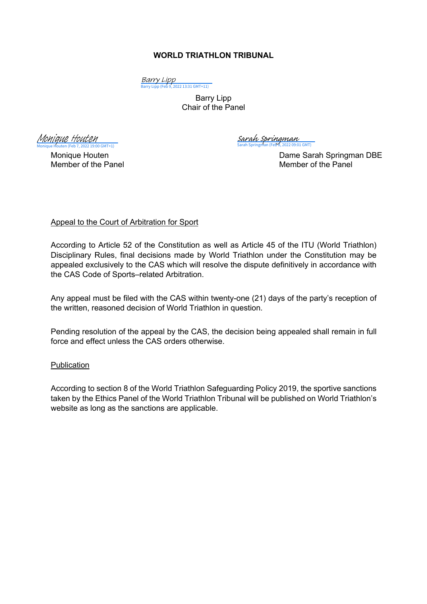# **WORLD TRIATHLON TRIBUNAL**

<mark>Barry Lipp</mark><br>[Barry Lipp \(Feb 9, 2022 13:31 GMT+11\)](https://eu2.documents.adobe.com/verifier?tx=CBJCHBCAABAAKpQY0_YsTc1-cCi3hpKDf3Ynkd7yQVfl)

Barry Lipp Chair of the Panel

 $GMT+1$ [Monique Houten](https://adobefreeuserschannel.eu2.documents.adobe.com/verifier?tx=CBJCHBCAABAAKpQY0_YsTc1-cCi3hpKDf3Ynkd7yQVfl)

Sarah Springman (Feb 8, 2022 09:01 GMT) [Sarah Springman](https://eu2.documents.adobe.com/verifier?tx=CBJCHBCAABAAKpQY0_YsTc1-cCi3hpKDf3Ynkd7yQVfl)

Monique Houten **Dame Sarah Springman DBE** Member of the Panel Member of the Panel

# Appeal to the Court of Arbitration for Sport

According to Article 52 of the Constitution as well as Article 45 of the ITU (World Triathlon) Disciplinary Rules, final decisions made by World Triathlon under the Constitution may be appealed exclusively to the CAS which will resolve the dispute definitively in accordance with the CAS Code of Sports–related Arbitration.

Any appeal must be filed with the CAS within twenty-one (21) days of the party's reception of the written, reasoned decision of World Triathlon in question.

Pending resolution of the appeal by the CAS, the decision being appealed shall remain in full force and effect unless the CAS orders otherwise.

# Publication

According to section 8 of the World Triathlon Safeguarding Policy 2019, the sportive sanctions taken by the Ethics Panel of the World Triathlon Tribunal will be published on World Triathlon's website as long as the sanctions are applicable.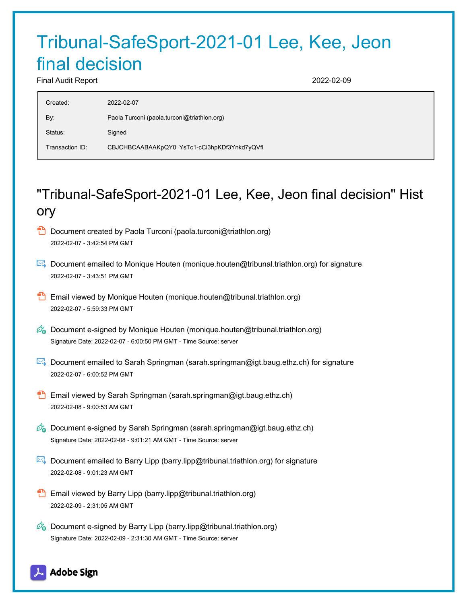# Tribunal-SafeSport-2021-01 Lee, Kee, Jeon final decision

Final Audit Report 2022-02-09

| Created:        | 2022-02-07                                   |
|-----------------|----------------------------------------------|
| By:             | Paola Turconi (paola.turconi@triathlon.org)  |
| Status:         | Signed                                       |
| Transaction ID: | CBJCHBCAABAAKpQY0_YsTc1-cCi3hpKDf3Ynkd7yQVfl |

# "Tribunal-SafeSport-2021-01 Lee, Kee, Jeon final decision" Hist ory

- **D** Document created by Paola Turconi (paola.turconi@triathlon.org) 2022-02-07 - 3:42:54 PM GMT
- Document emailed to Monique Houten (monique.houten@tribunal.triathlon.org) for signature 2022-02-07 - 3:43:51 PM GMT
- **B** Email viewed by Monique Houten (monique.houten@tribunal.triathlon.org) 2022-02-07 - 5:59:33 PM GMT
- $\mathcal{O}_0$  Document e-signed by Monique Houten (monique.houten@tribunal.triathlon.org) Signature Date: 2022-02-07 - 6:00:50 PM GMT - Time Source: server
- Document emailed to Sarah Springman (sarah.springman@igt.baug.ethz.ch) for signature 2022-02-07 - 6:00:52 PM GMT
- **Email viewed by Sarah Springman (sarah.springman@igt.baug.ethz.ch)** 2022-02-08 - 9:00:53 AM GMT
- $\mathscr{O}_\bullet$  Document e-signed by Sarah Springman (sarah.springman@igt.baug.ethz.ch) Signature Date: 2022-02-08 - 9:01:21 AM GMT - Time Source: server
- Document emailed to Barry Lipp (barry.lipp@tribunal.triathlon.org) for signature 2022-02-08 - 9:01:23 AM GMT
- **Email viewed by Barry Lipp (barry.lipp@tribunal.triathlon.org)** 2022-02-09 - 2:31:05 AM GMT
- Co Document e-signed by Barry Lipp (barry.lipp@tribunal.triathlon.org) Signature Date: 2022-02-09 - 2:31:30 AM GMT - Time Source: server

# **Adobe Sign**